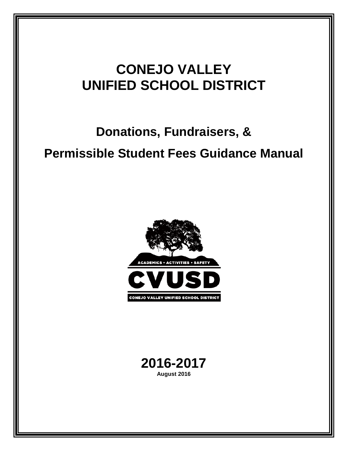# **Donations, Fundraisers, & Permissible Student Fees Guidance Manual**



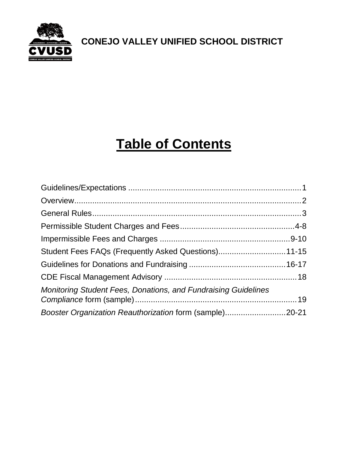

# **Table of Contents**

| Student Fees FAQs (Frequently Asked Questions)11-15                   |  |
|-----------------------------------------------------------------------|--|
|                                                                       |  |
|                                                                       |  |
| <b>Monitoring Student Fees, Donations, and Fundraising Guidelines</b> |  |
| Booster Organization Reauthorization form (sample)20-21               |  |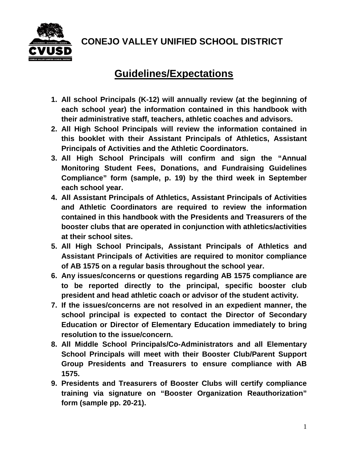

### **Guidelines/Expectations**

- **1. All school Principals (K-12) will annually review (at the beginning of each school year) the information contained in this handbook with their administrative staff, teachers, athletic coaches and advisors.**
- **2. All High School Principals will review the information contained in this booklet with their Assistant Principals of Athletics, Assistant Principals of Activities and the Athletic Coordinators.**
- **3. All High School Principals will confirm and sign the "Annual Monitoring Student Fees, Donations, and Fundraising Guidelines Compliance" form (sample, p. 19) by the third week in September each school year.**
- **4. All Assistant Principals of Athletics, Assistant Principals of Activities and Athletic Coordinators are required to review the information contained in this handbook with the Presidents and Treasurers of the booster clubs that are operated in conjunction with athletics/activities at their school sites.**
- **5. All High School Principals, Assistant Principals of Athletics and Assistant Principals of Activities are required to monitor compliance of AB 1575 on a regular basis throughout the school year.**
- **6. Any issues/concerns or questions regarding AB 1575 compliance are to be reported directly to the principal, specific booster club president and head athletic coach or advisor of the student activity.**
- **7. If the issues/concerns are not resolved in an expedient manner, the school principal is expected to contact the Director of Secondary Education or Director of Elementary Education immediately to bring resolution to the issue/concern.**
- **8. All Middle School Principals/Co-Administrators and all Elementary School Principals will meet with their Booster Club/Parent Support Group Presidents and Treasurers to ensure compliance with AB 1575.**
- **9. Presidents and Treasurers of Booster Clubs will certify compliance training via signature on "Booster Organization Reauthorization" form (sample pp. 20-21).**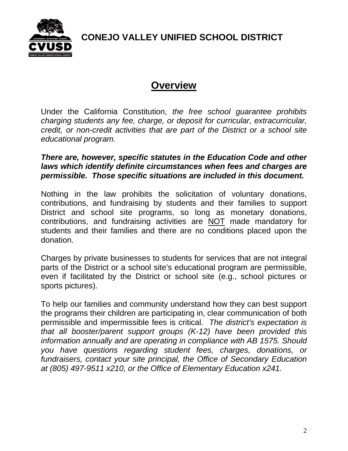

### **Overview**

Under the California Constitution, *the free school guarantee prohibits charging students any fee, charge, or deposit for curricular, extracurricular, credit, or non-credit activities that are part of the District or a school site educational program.*

#### *There are, however, specific statutes in the Education Code and other laws which identify definite circumstances when fees and charges are permissible. Those specific situations are included in this document.*

Nothing in the law prohibits the solicitation of voluntary donations, contributions, and fundraising by students and their families to support District and school site programs, so long as monetary donations, contributions, and fundraising activities are NOT made mandatory for students and their families and there are no conditions placed upon the donation.

Charges by private businesses to students for services that are not integral parts of the District or a school site's educational program are permissible, even if facilitated by the District or school site (e.g., school pictures or sports pictures).

To help our families and community understand how they can best support the programs their children are participating in, clear communication of both permissible and impermissible fees is critical. *The district's expectation is that all booster/parent support groups (K-12) have been provided this information annually and are operating in compliance with AB 1575. Should you have questions regarding student fees, charges, donations, or fundraisers, contact your site principal, the Office of Secondary Education at (805) 497-9511 x210, or the Office of Elementary Education x241.*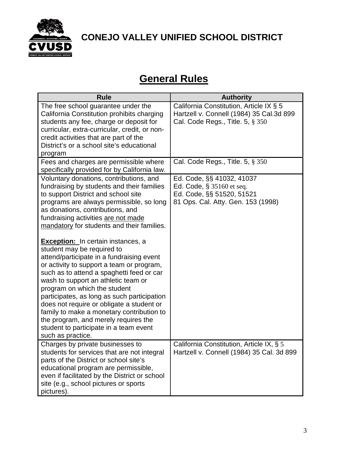

### **General Rules**

| <b>Rule</b>                                                                                                                                                                                                                                                                                                                                                                                                                                                            | <b>Authority</b>                                                                                                          |
|------------------------------------------------------------------------------------------------------------------------------------------------------------------------------------------------------------------------------------------------------------------------------------------------------------------------------------------------------------------------------------------------------------------------------------------------------------------------|---------------------------------------------------------------------------------------------------------------------------|
| The free school guarantee under the<br>California Constitution prohibits charging<br>students any fee, charge or deposit for<br>curricular, extra-curricular, credit, or non-<br>credit activities that are part of the<br>District's or a school site's educational                                                                                                                                                                                                   | California Constitution, Article IX § 5<br>Hartzell v. Connell (1984) 35 Cal.3d 899<br>Cal. Code Regs., Title. 5, § 350   |
| program<br>Fees and charges are permissible where<br>specifically provided for by California law.                                                                                                                                                                                                                                                                                                                                                                      | Cal. Code Regs., Title. 5, § 350                                                                                          |
| Voluntary donations, contributions, and<br>fundraising by students and their families<br>to support District and school site<br>programs are always permissible, so long<br>as donations, contributions, and<br>fundraising activities are not made<br>mandatory for students and their families.<br><b>Exception:</b> In certain instances, a<br>student may be required to<br>attend/participate in a fundraising event<br>or activity to support a team or program, | Ed. Code, §§ 41032, 41037<br>Ed. Code, § 35160 et seq.<br>Ed. Code, §§ 51520, 51521<br>81 Ops. Cal. Atty. Gen. 153 (1998) |
| such as to attend a spaghetti feed or car<br>wash to support an athletic team or<br>program on which the student<br>participates, as long as such participation<br>does not require or obligate a student or<br>family to make a monetary contribution to<br>the program, and merely requires the<br>student to participate in a team event<br>such as practice.                                                                                                       |                                                                                                                           |
| Charges by private businesses to<br>students for services that are not integral<br>parts of the District or school site's<br>educational program are permissible,<br>even if facilitated by the District or school<br>site (e.g., school pictures or sports<br>pictures).                                                                                                                                                                                              | California Constitution, Article IX, § 5<br>Hartzell v. Connell (1984) 35 Cal. 3d 899                                     |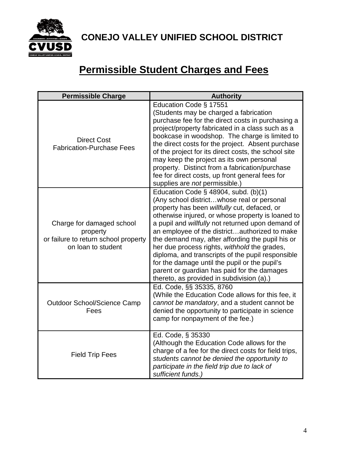

## **Permissible Student Charges and Fees**

| <b>Permissible Charge</b>                                                                           | <b>Authority</b>                                                                                                                                                                                                                                                                                                                                                                                                                                                                                                                                                                                       |
|-----------------------------------------------------------------------------------------------------|--------------------------------------------------------------------------------------------------------------------------------------------------------------------------------------------------------------------------------------------------------------------------------------------------------------------------------------------------------------------------------------------------------------------------------------------------------------------------------------------------------------------------------------------------------------------------------------------------------|
| <b>Direct Cost</b><br><b>Fabrication-Purchase Fees</b>                                              | Education Code § 17551<br>(Students may be charged a fabrication<br>purchase fee for the direct costs in purchasing a<br>project/property fabricated in a class such as a<br>bookcase in woodshop. The charge is limited to<br>the direct costs for the project. Absent purchase<br>of the project for its direct costs, the school site<br>may keep the project as its own personal<br>property. Distinct from a fabrication/purchase<br>fee for direct costs, up front general fees for<br>supplies are not permissible.)                                                                            |
| Charge for damaged school<br>property<br>or failure to return school property<br>on loan to student | Education Code $\S$ 48904, subd. (b)(1)<br>(Any school districtwhose real or personal<br>property has been willfully cut, defaced, or<br>otherwise injured, or whose property is loaned to<br>a pupil and willfully not returned upon demand of<br>an employee of the districtauthorized to make<br>the demand may, after affording the pupil his or<br>her due process rights, withhold the grades,<br>diploma, and transcripts of the pupil responsible<br>for the damage until the pupil or the pupil's<br>parent or guardian has paid for the damages<br>thereto, as provided in subdivision (a).) |
| <b>Outdoor School/Science Camp</b><br>Fees                                                          | Ed. Code, §§ 35335, 8760<br>(While the Education Code allows for this fee, it<br>cannot be mandatory, and a student cannot be<br>denied the opportunity to participate in science<br>camp for nonpayment of the fee.)                                                                                                                                                                                                                                                                                                                                                                                  |
| <b>Field Trip Fees</b>                                                                              | Ed. Code, § 35330<br>(Although the Education Code allows for the<br>charge of a fee for the direct costs for field trips,<br>students cannot be denied the opportunity to<br>participate in the field trip due to lack of<br>sufficient funds.)                                                                                                                                                                                                                                                                                                                                                        |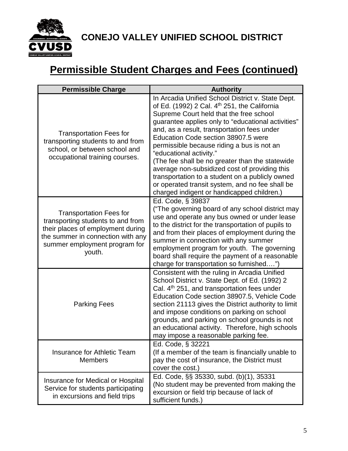

## **Permissible Student Charges and Fees (continued)**

| <b>Permissible Charge</b>                                                                                                                                                                | <b>Authority</b>                                                                                                                                                                                                                                                                                                                                                                                                                                                                                                                                                                                                                      |
|------------------------------------------------------------------------------------------------------------------------------------------------------------------------------------------|---------------------------------------------------------------------------------------------------------------------------------------------------------------------------------------------------------------------------------------------------------------------------------------------------------------------------------------------------------------------------------------------------------------------------------------------------------------------------------------------------------------------------------------------------------------------------------------------------------------------------------------|
| <b>Transportation Fees for</b><br>transporting students to and from<br>school, or between school and<br>occupational training courses.                                                   | In Arcadia Unified School District v. State Dept.<br>of Ed. (1992) 2 Cal. 4 <sup>th</sup> 251, the California<br>Supreme Court held that the free school<br>guarantee applies only to "educational activities"<br>and, as a result, transportation fees under<br>Education Code section 38907.5 were<br>permissible because riding a bus is not an<br>"educational activity."<br>(The fee shall be no greater than the statewide<br>average non-subsidized cost of providing this<br>transportation to a student on a publicly owned<br>or operated transit system, and no fee shall be<br>charged indigent or handicapped children.) |
| <b>Transportation Fees for</b><br>transporting students to and from<br>their places of employment during<br>the summer in connection with any<br>summer employment program for<br>youth. | Ed. Code, § 39837<br>("The governing board of any school district may<br>use and operate any bus owned or under lease<br>to the district for the transportation of pupils to<br>and from their places of employment during the<br>summer in connection with any summer<br>employment program for youth. The governing<br>board shall require the payment of a reasonable<br>charge for transportation so furnished")                                                                                                                                                                                                                  |
| <b>Parking Fees</b>                                                                                                                                                                      | Consistent with the ruling in Arcadia Unified<br>School District v. State Dept. of Ed. (1992) 2<br>Cal. 4 <sup>th</sup> 251, and transportation fees under<br>Education Code section 38907.5, Vehicle Code<br>section 21113 gives the District authority to limit<br>and impose conditions on parking on school<br>grounds, and parking on school grounds is not<br>an educational activity. Therefore, high schools<br>may impose a reasonable parking fee.                                                                                                                                                                          |
| Insurance for Athletic Team<br><b>Members</b>                                                                                                                                            | Ed. Code, § 32221<br>(If a member of the team is financially unable to<br>pay the cost of insurance, the District must<br>cover the cost.)                                                                                                                                                                                                                                                                                                                                                                                                                                                                                            |
| Insurance for Medical or Hospital<br>Service for students participating<br>in excursions and field trips                                                                                 | Ed. Code, §§ 35330, subd. (b)(1), 35331<br>(No student may be prevented from making the<br>excursion or field trip because of lack of<br>sufficient funds.)                                                                                                                                                                                                                                                                                                                                                                                                                                                                           |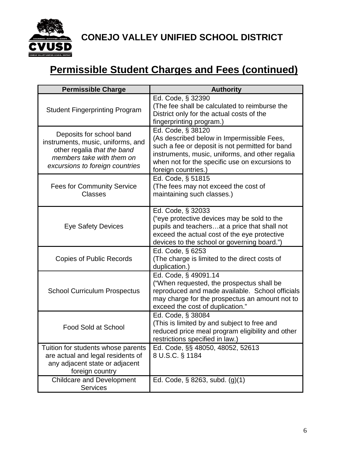

## **Permissible Student Charges and Fees (continued)**

| <b>Permissible Charge</b>                                                                                                                                    | <b>Authority</b>                                                                                                                                                                                                                               |
|--------------------------------------------------------------------------------------------------------------------------------------------------------------|------------------------------------------------------------------------------------------------------------------------------------------------------------------------------------------------------------------------------------------------|
| <b>Student Fingerprinting Program</b>                                                                                                                        | Ed. Code, § 32390<br>(The fee shall be calculated to reimburse the<br>District only for the actual costs of the<br>fingerprinting program.)                                                                                                    |
| Deposits for school band<br>instruments, music, uniforms, and<br>other regalia that the band<br>members take with them on<br>excursions to foreign countries | Ed. Code, § 38120<br>(As described below in Impermissible Fees,<br>such a fee or deposit is not permitted for band<br>instruments, music, uniforms, and other regalia<br>when not for the specific use on excursions to<br>foreign countries.) |
| <b>Fees for Community Service</b><br><b>Classes</b>                                                                                                          | Ed. Code, § 51815<br>(The fees may not exceed the cost of<br>maintaining such classes.)                                                                                                                                                        |
| <b>Eye Safety Devices</b>                                                                                                                                    | Ed. Code, § 32033<br>("eye protective devices may be sold to the<br>pupils and teachersat a price that shall not<br>exceed the actual cost of the eye protective<br>devices to the school or governing board.")                                |
| <b>Copies of Public Records</b>                                                                                                                              | Ed. Code, § 6253<br>(The charge is limited to the direct costs of<br>duplication.)                                                                                                                                                             |
| <b>School Curriculum Prospectus</b>                                                                                                                          | Ed. Code, § 49091.14<br>("When requested, the prospectus shall be<br>reproduced and made available. School officials<br>may charge for the prospectus an amount not to<br>exceed the cost of duplication."                                     |
| <b>Food Sold at School</b>                                                                                                                                   | Ed. Code, § 38084<br>(This is limited by and subject to free and<br>reduced price meal program eligibility and other<br>restrictions specified in law.)                                                                                        |
| Tuition for students whose parents<br>are actual and legal residents of<br>any adjacent state or adjacent<br>foreign country                                 | Ed. Code, §§ 48050, 48052, 52613<br>8 U.S.C. § 1184                                                                                                                                                                                            |
| <b>Childcare and Development</b><br><b>Services</b>                                                                                                          | Ed. Code, § 8263, subd. (g)(1)                                                                                                                                                                                                                 |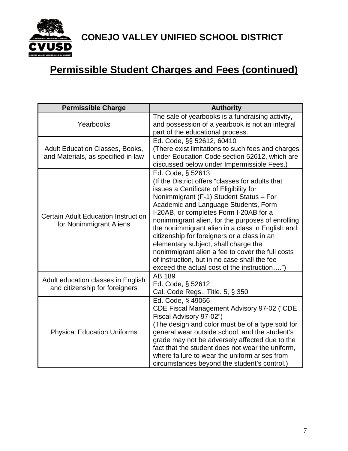

## **Permissible Student Charges and Fees (continued)**

| <b>Permissible Charge</b>                                                    | <b>Authority</b>                                                                                                                                                                                                                                                                                                                                                                                                                                                                                                                                                                                 |
|------------------------------------------------------------------------------|--------------------------------------------------------------------------------------------------------------------------------------------------------------------------------------------------------------------------------------------------------------------------------------------------------------------------------------------------------------------------------------------------------------------------------------------------------------------------------------------------------------------------------------------------------------------------------------------------|
| Yearbooks                                                                    | The sale of yearbooks is a fundraising activity,<br>and possession of a yearbook is not an integral<br>part of the educational process.                                                                                                                                                                                                                                                                                                                                                                                                                                                          |
| <b>Adult Education Classes, Books,</b><br>and Materials, as specified in law | Ed. Code, §§ 52612, 60410<br>(There exist limitations to such fees and charges<br>under Education Code section 52612, which are<br>discussed below under Impermissible Fees.)                                                                                                                                                                                                                                                                                                                                                                                                                    |
| <b>Certain Adult Education Instruction</b><br>for Nonimmigrant Aliens        | Ed. Code, § 52613<br>(If the District offers "classes for adults that<br>issues a Certificate of Eligibility for<br>Nonimmigrant (F-1) Student Status - For<br>Academic and Language Students, Form<br>I-20AB, or completes Form I-20AB for a<br>nonimmigrant alien, for the purposes of enrolling<br>the nonimmigrant alien in a class in English and<br>citizenship for foreigners or a class in an<br>elementary subject, shall charge the<br>nonimmigrant alien a fee to cover the full costs<br>of instruction, but in no case shall the fee<br>exceed the actual cost of the instruction") |
| Adult education classes in English<br>and citizenship for foreigners         | AB 189<br>Ed. Code, § 52612<br>Cal. Code Regs., Title. 5, § 350                                                                                                                                                                                                                                                                                                                                                                                                                                                                                                                                  |
| <b>Physical Education Uniforms</b>                                           | Ed. Code, § 49066<br>CDE Fiscal Management Advisory 97-02 ("CDE<br>Fiscal Advisory 97-02")<br>(The design and color must be of a type sold for<br>general wear outside school, and the student's<br>grade may not be adversely affected due to the<br>fact that the student does not wear the uniform,<br>where failure to wear the uniform arises from<br>circumstances beyond the student's control.)                                                                                                                                                                                          |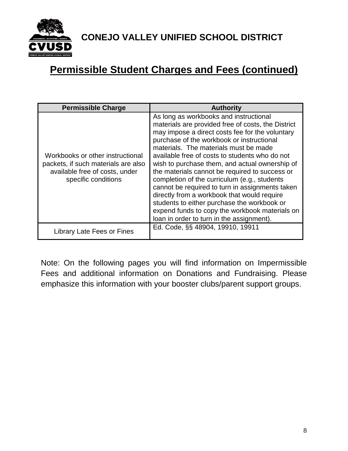

### **Permissible Student Charges and Fees (continued)**

| <b>Permissible Charge</b>                                                                                                        | <b>Authority</b>                                                                                                                                                                                                                                                                                                                                                                                                                                                                                                                                                                                                                                                                            |
|----------------------------------------------------------------------------------------------------------------------------------|---------------------------------------------------------------------------------------------------------------------------------------------------------------------------------------------------------------------------------------------------------------------------------------------------------------------------------------------------------------------------------------------------------------------------------------------------------------------------------------------------------------------------------------------------------------------------------------------------------------------------------------------------------------------------------------------|
| Workbooks or other instructional<br>packets, if such materials are also<br>available free of costs, under<br>specific conditions | As long as workbooks and instructional<br>materials are provided free of costs, the District<br>may impose a direct costs fee for the voluntary<br>purchase of the workbook or instructional<br>materials. The materials must be made<br>available free of costs to students who do not<br>wish to purchase them, and actual ownership of<br>the materials cannot be required to success or<br>completion of the curriculum (e.g., students<br>cannot be required to turn in assignments taken<br>directly from a workbook that would require<br>students to either purchase the workbook or<br>expend funds to copy the workbook materials on<br>loan in order to turn in the assignment). |
| Library Late Fees or Fines                                                                                                       | Ed. Code, §§ 48904, 19910, 19911                                                                                                                                                                                                                                                                                                                                                                                                                                                                                                                                                                                                                                                            |

Note: On the following pages you will find information on Impermissible Fees and additional information on Donations and Fundraising. Please emphasize this information with your booster clubs/parent support groups.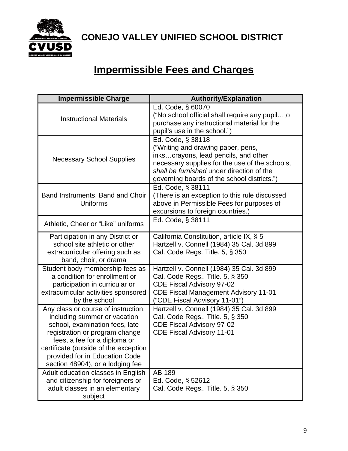

## **Impermissible Fees and Charges**

| <b>Impermissible Charge</b>                                                                                                                                                                                                                                                            | <b>Authority/Explanation</b>                                                                                                                                                                                                                  |
|----------------------------------------------------------------------------------------------------------------------------------------------------------------------------------------------------------------------------------------------------------------------------------------|-----------------------------------------------------------------------------------------------------------------------------------------------------------------------------------------------------------------------------------------------|
| <b>Instructional Materials</b>                                                                                                                                                                                                                                                         | Ed. Code, § 60070<br>("No school official shall require any pupilto<br>purchase any instructional material for the<br>pupil's use in the school.")                                                                                            |
| <b>Necessary School Supplies</b>                                                                                                                                                                                                                                                       | Ed. Code, § 38118<br>("Writing and drawing paper, pens,<br>inkscrayons, lead pencils, and other<br>necessary supplies for the use of the schools,<br>shall be furnished under direction of the<br>governing boards of the school districts.") |
| Band Instruments, Band and Choir<br>Uniforms                                                                                                                                                                                                                                           | Ed. Code, § 38111<br>(There is an exception to this rule discussed<br>above in Permissible Fees for purposes of<br>excursions to foreign countries.)                                                                                          |
| Athletic, Cheer or "Like" uniforms                                                                                                                                                                                                                                                     | Ed. Code, § 38111                                                                                                                                                                                                                             |
| Participation in any District or<br>school site athletic or other<br>extracurricular offering such as<br>band, choir, or drama                                                                                                                                                         | California Constitution, article IX, § 5<br>Hartzell v. Connell (1984) 35 Cal. 3d 899<br>Cal. Code Regs. Title. 5, § 350                                                                                                                      |
| Student body membership fees as<br>a condition for enrollment or<br>participation in curricular or<br>extracurricular activities sponsored<br>by the school                                                                                                                            | Hartzell v. Connell (1984) 35 Cal. 3d 899<br>Cal. Code Regs., Title. 5, § 350<br><b>CDE Fiscal Advisory 97-02</b><br><b>CDE Fiscal Management Advisory 11-01</b><br>("CDE Fiscal Advisory 11-01")                                             |
| Any class or course of instruction,<br>including summer or vacation<br>school, examination fees, late<br>registration or program change<br>fees, a fee for a diploma or<br>certificate (outside of the exception<br>provided for in Education Code<br>section 48904), or a lodging fee | Hartzell v. Connell (1984) 35 Cal. 3d 899<br>Cal. Code Regs., Title. 5, § 350<br><b>CDE Fiscal Advisory 97-02</b><br><b>CDE Fiscal Advisory 11-01</b>                                                                                         |
| Adult education classes in English<br>and citizenship for foreigners or<br>adult classes in an elementary<br>subject                                                                                                                                                                   | AB 189<br>Ed. Code, § 52612<br>Cal. Code Regs., Title. 5, § 350                                                                                                                                                                               |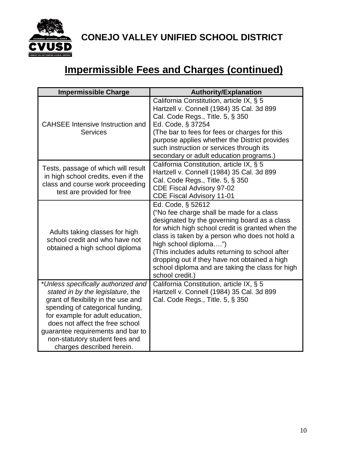

## **Impermissible Fees and Charges (continued)**

| <b>Impermissible Charge</b>                                                                                                                                                                                                                                                                                                    | <b>Authority/Explanation</b>                                                                                                                                                                                                                                                                                                                                                                                             |
|--------------------------------------------------------------------------------------------------------------------------------------------------------------------------------------------------------------------------------------------------------------------------------------------------------------------------------|--------------------------------------------------------------------------------------------------------------------------------------------------------------------------------------------------------------------------------------------------------------------------------------------------------------------------------------------------------------------------------------------------------------------------|
| <b>CAHSEE Intensive Instruction and</b><br>Services                                                                                                                                                                                                                                                                            | California Constitution, article IX, § 5<br>Hartzell v. Connell (1984) 35 Cal. 3d 899<br>Cal. Code Regs., Title. 5, § 350<br>Ed. Code, § 37254<br>(The bar to fees for fees or charges for this<br>purpose applies whether the District provides<br>such instruction or services through its<br>secondary or adult education programs.)                                                                                  |
| Tests, passage of which will result<br>in high school credits, even if the<br>class and course work proceeding<br>test are provided for free                                                                                                                                                                                   | California Constitution, article IX, § 5<br>Hartzell v. Connell (1984) 35 Cal. 3d 899<br>Cal. Code Regs., Title. 5, § 350<br><b>CDE Fiscal Advisory 97-02</b><br><b>CDE Fiscal Advisory 11-01</b>                                                                                                                                                                                                                        |
| Adults taking classes for high<br>school credit and who have not<br>obtained a high school diploma                                                                                                                                                                                                                             | Ed. Code, § 52612<br>("No fee charge shall be made for a class<br>designated by the governing board as a class<br>for which high school credit is granted when the<br>class is taken by a person who does not hold a<br>high school diploma")<br>(This includes adults returning to school after<br>dropping out if they have not obtained a high<br>school diploma and are taking the class for high<br>school credit.) |
| *Unless specifically authorized and<br>stated in by the legislature, the<br>grant of flexibility in the use and<br>spending of categorical funding,<br>for example for adult education,<br>does not affect the free school<br>guarantee requirements and bar to<br>non-statutory student fees and<br>charges described herein. | California Constitution, article IX, § 5<br>Hartzell v. Connell (1984) 35 Cal. 3d 899<br>Cal. Code Regs., Title. 5, § 350                                                                                                                                                                                                                                                                                                |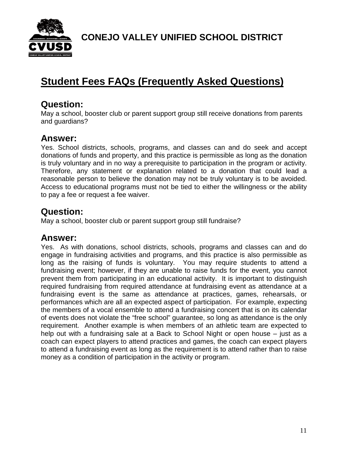

### **Student Fees FAQs (Frequently Asked Questions)**

#### **Question:**

May a school, booster club or parent support group still receive donations from parents and guardians?

#### **Answer:**

Yes. School districts, schools, programs, and classes can and do seek and accept donations of funds and property, and this practice is permissible as long as the donation is truly voluntary and in no way a prerequisite to participation in the program or activity. Therefore, any statement or explanation related to a donation that could lead a reasonable person to believe the donation may not be truly voluntary is to be avoided. Access to educational programs must not be tied to either the willingness or the ability to pay a fee or request a fee waiver.

#### **Question:**

May a school, booster club or parent support group still fundraise?

#### **Answer:**

Yes. As with donations, school districts, schools, programs and classes can and do engage in fundraising activities and programs, and this practice is also permissible as long as the raising of funds is voluntary. You may require students to attend a fundraising event; however, if they are unable to raise funds for the event, you cannot prevent them from participating in an educational activity. It is important to distinguish required fundraising from required attendance at fundraising event as attendance at a fundraising event is the same as attendance at practices, games, rehearsals, or performances which are all an expected aspect of participation. For example, expecting the members of a vocal ensemble to attend a fundraising concert that is on its calendar of events does not violate the "free school" guarantee, so long as attendance is the only requirement. Another example is when members of an athletic team are expected to help out with a fundraising sale at a Back to School Night or open house – just as a coach can expect players to attend practices and games, the coach can expect players to attend a fundraising event as long as the requirement is to attend rather than to raise money as a condition of participation in the activity or program.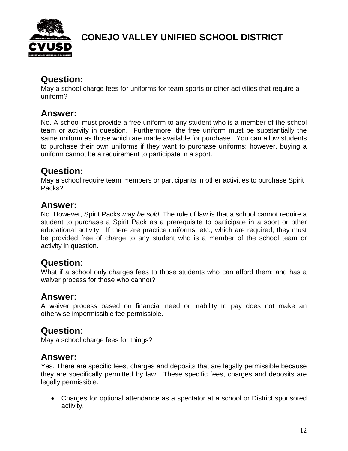

#### **Question:**

May a school charge fees for uniforms for team sports or other activities that require a uniform?

#### **Answer:**

No. A school must provide a free uniform to any student who is a member of the school team or activity in question. Furthermore, the free uniform must be substantially the same uniform as those which are made available for purchase. You can allow students to purchase their own uniforms if they want to purchase uniforms; however, buying a uniform cannot be a requirement to participate in a sport.

#### **Question:**

May a school require team members or participants in other activities to purchase Spirit Packs?

#### **Answer:**

No. However, Spirit Packs *may be sold*. The rule of law is that a school cannot require a student to purchase a Spirit Pack as a prerequisite to participate in a sport or other educational activity. If there are practice uniforms, etc., which are required, they must be provided free of charge to any student who is a member of the school team or activity in question.

#### **Question:**

What if a school only charges fees to those students who can afford them; and has a waiver process for those who cannot?

### **Answer:**

A waiver process based on financial need or inability to pay does not make an otherwise impermissible fee permissible.

#### **Question:**

May a school charge fees for things?

#### **Answer:**

Yes. There are specific fees, charges and deposits that are legally permissible because they are specifically permitted by law. These specific fees, charges and deposits are legally permissible.

• Charges for optional attendance as a spectator at a school or District sponsored activity.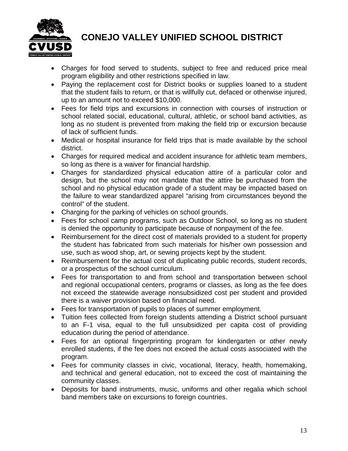

- Charges for food served to students, subject to free and reduced price meal program eligibility and other restrictions specified in law.
- Paying the replacement cost for District books or supplies loaned to a student that the student fails to return, or that is willfully cut, defaced or otherwise injured, up to an amount not to exceed \$10,000.
- Fees for field trips and excursions in connection with courses of instruction or school related social, educational, cultural, athletic, or school band activities, as long as no student is prevented from making the field trip or excursion because of lack of sufficient funds.
- Medical or hospital insurance for field trips that is made available by the school district.
- Charges for required medical and accident insurance for athletic team members, so long as there is a waiver for financial hardship.
- Charges for standardized physical education attire of a particular color and design, but the school may not mandate that the attire be purchased from the school and no physical education grade of a student may be impacted based on the failure to wear standardized apparel "arising from circumstances beyond the control" of the student.
- Charging for the parking of vehicles on school grounds.
- Fees for school camp programs, such as Outdoor School, so long as no student is denied the opportunity to participate because of nonpayment of the fee.
- Reimbursement for the direct cost of materials provided to a student for property the student has fabricated from such materials for his/her own possession and use, such as wood shop, art, or sewing projects kept by the student.
- Reimbursement for the actual cost of duplicating public records, student records, or a prospectus of the school curriculum.
- Fees for transportation to and from school and transportation between school and regional occupational centers, programs or classes, as long as the fee does not exceed the statewide average nonsubsidized cost per student and provided there is a waiver provision based on financial need.
- Fees for transportation of pupils to places of summer employment.
- Tuition fees collected from foreign students attending a District school pursuant to an F-1 visa, equal to the full unsubsidized per capita cost of providing education during the period of attendance.
- Fees for an optional fingerprinting program for kindergarten or other newly enrolled students, if the fee does not exceed the actual costs associated with the program.
- Fees for community classes in civic, vocational, literacy, health, homemaking, and technical and general education, not to exceed the cost of maintaining the community classes.
- Deposits for band instruments, music, uniforms and other regalia which school band members take on excursions to foreign countries.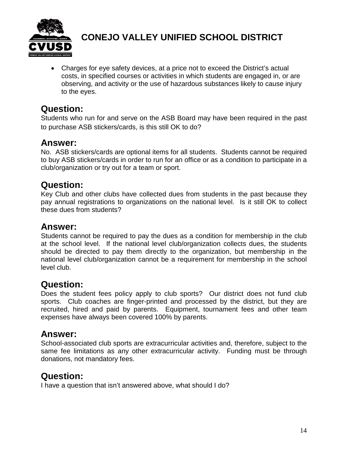

• Charges for eye safety devices, at a price not to exceed the District's actual costs, in specified courses or activities in which students are engaged in, or are observing, and activity or the use of hazardous substances likely to cause injury to the eyes.

#### **Question:**

Students who run for and serve on the ASB Board may have been required in the past to purchase ASB stickers/cards, is this still OK to do?

#### **Answer:**

No. ASB stickers/cards are optional items for all students. Students cannot be required to buy ASB stickers/cards in order to run for an office or as a condition to participate in a club/organization or try out for a team or sport.

#### **Question:**

Key Club and other clubs have collected dues from students in the past because they pay annual registrations to organizations on the national level. Is it still OK to collect these dues from students?

#### **Answer:**

Students cannot be required to pay the dues as a condition for membership in the club at the school level. If the national level club/organization collects dues, the students should be directed to pay them directly to the organization, but membership in the national level club/organization cannot be a requirement for membership in the school level club.

#### **Question:**

Does the student fees policy apply to club sports? Our district does not fund club sports. Club coaches are finger-printed and processed by the district, but they are recruited, hired and paid by parents. Equipment, tournament fees and other team expenses have always been covered 100% by parents.

#### **Answer:**

School-associated club sports are extracurricular activities and, therefore, subject to the same fee limitations as any other extracurricular activity. Funding must be through donations, not mandatory fees.

#### **Question:**

I have a question that isn't answered above, what should I do?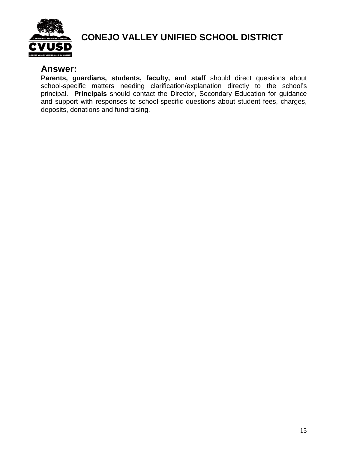

#### **Answer:**

**Parents, guardians, students, faculty, and staff** should direct questions about school-specific matters needing clarification/explanation directly to the school's principal. **Principals** should contact the Director, Secondary Education for guidance and support with responses to school-specific questions about student fees, charges, deposits, donations and fundraising.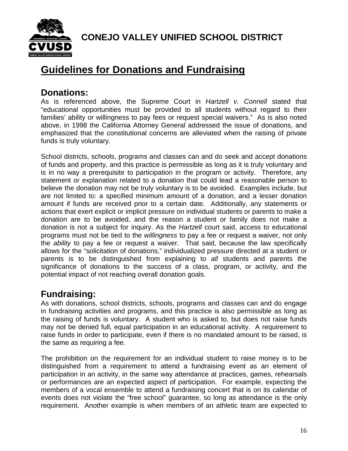

### **Guidelines for Donations and Fundraising**

#### **Donations:**

As is referenced above, the Supreme Court in *Hartzell v. Connell* stated that "educational opportunities must be provided to all students without regard to their families' ability or willingness to pay fees or request special waivers." As is also noted above, in 1998 the California Attorney General addressed the issue of donations, and emphasized that the constitutional concerns are alleviated when the raising of private funds is truly voluntary.

School districts, schools, programs and classes can and do seek and accept donations of funds and property, and this practice is permissible as long as it is truly voluntary and is in no way a prerequisite to participation in the program or activity. Therefore, any statement or explanation related to a donation that could lead a reasonable person to believe the donation may not be truly voluntary is to be avoided. Examples include, but are not limited to: a specified minimum amount of a donation, and a lesser donation amount if funds are received prior to a certain date. Additionally, any statements or actions that exert explicit or implicit pressure on individual students or parents to make a donation are to be avoided, and the reason a student or family does not make a donation is not a subject for inquiry. As the *Hartzell* court said, access to educational programs must not be tied to the *willingness* to pay a fee or request a waiver, not only the *ability* to pay a fee or request a waiver. That said, because the law specifically allows for the "solicitation of donations," individualized pressure directed at a student or parents is to be distinguished from explaining to *all* students and parents the significance of donations to the success of a class, program, or activity, and the potential impact of not reaching overall donation goals.

### **Fundraising:**

As with donations, school districts, schools, programs and classes can and do engage in fundraising activities and programs, and this practice is also permissible as long as the raising of funds is voluntary. A student who is asked to, but does not raise funds may not be denied full, equal participation in an educational activity. A requirement to raise funds in order to participate, even if there is no mandated amount to be raised, is the same as requiring a fee.

The prohibition on the requirement for an individual student to raise money is to be distinguished from a requirement to attend a fundraising event as an element of participation in an activity, in the same way attendance at practices, games, rehearsals or performances are an expected aspect of participation. For example, expecting the members of a vocal ensemble to attend a fundraising concert that is on its calendar of events does not violate the "free school" guarantee, so long as attendance is the only requirement. Another example is when members of an athletic team are expected to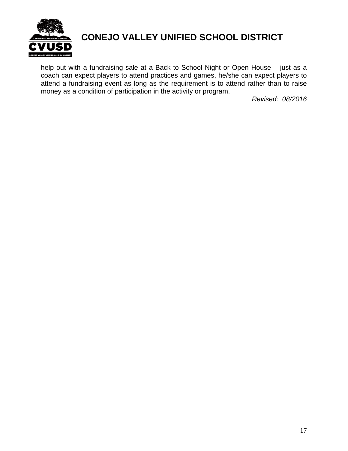

help out with a fundraising sale at a Back to School Night or Open House – just as a coach can expect players to attend practices and games, he/she can expect players to attend a fundraising event as long as the requirement is to attend rather than to raise money as a condition of participation in the activity or program.

*Revised: 08/2016*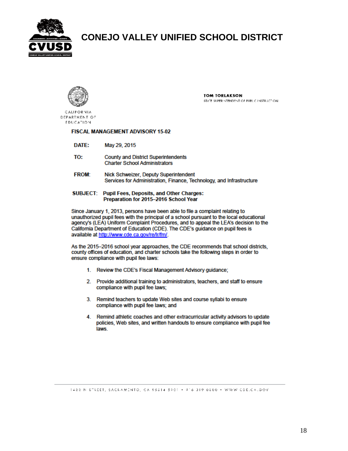



**TOM TORLAKSON** STATE SUPERINTENDENT OF PUBLIC INSTRUCTION.

**CALIFORNIA** DEPARTMENT OF **FDUCATION** 

#### FISCAL MANAGEMENT ADVISORY 15-02

- DATE: May 29, 2015
- TO: **County and District Superintendents Charter School Administrators**
- **FROM:** Nick Schweizer, Deputy Superintendent Services for Administration, Finance, Technology, and Infrastructure
- SUBJECT: Pupil Fees, Deposits, and Other Charges: Preparation for 2015-2016 School Year

Since January 1, 2013, persons have been able to file a complaint relating to unauthorized pupil fees with the principal of a school pursuant to the local educational agency's (LEA) Uniform Complaint Procedures, and to appeal the LEA's decision to the California Department of Education (CDE). The CDE's guidance on pupil fees is available at http://www.cde.ca.gov/re/lr/fm/.

As the 2015-2016 school year approaches, the CDE recommends that school districts, county offices of education, and charter schools take the following steps in order to ensure compliance with pupil fee laws:

- 1. Review the CDE's Fiscal Management Advisory guidance;
- 2. Provide additional training to administrators, teachers, and staff to ensure compliance with pupil fee laws;
- 3. Remind teachers to update Web sites and course syllabi to ensure compliance with pupil fee laws; and
- Remind athletic coaches and other extracurricular activity advisors to update 4. policies, Web sites, and written handouts to ensure compliance with pupil fee laws.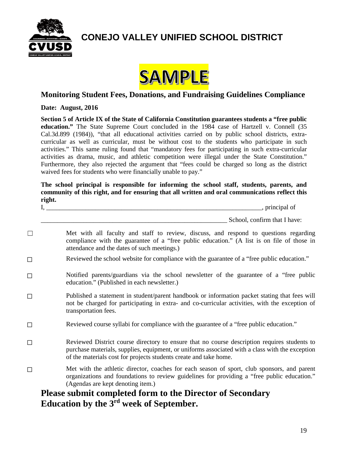



#### **Monitoring Student Fees, Donations, and Fundraising Guidelines Compliance**

#### **Date: August, 2016**

**Section 5 of Article IX of the State of California Constitution guarantees students a "free public education."** The State Supreme Court concluded in the 1984 case of Hartzell v. Connell (35 Cal.3d.899 (1984)), "that all educational activities carried on by public school districts, extracurricular as well as curricular, must be without cost to the students who participate in such activities." This same ruling found that "mandatory fees for participating in such extra-curricular activities as drama, music, and athletic competition were illegal under the State Constitution." Furthermore, they also rejected the argument that "fees could be charged so long as the district waived fees for students who were financially unable to pay."

**The school principal is responsible for informing the school staff, students, parents, and community of this right, and for ensuring that all written and oral communications reflect this right.**

I, \_\_\_\_\_\_\_\_\_\_\_\_\_\_\_\_\_\_\_\_\_\_\_\_\_\_\_\_\_\_\_\_\_\_\_\_\_\_\_\_\_\_\_\_\_\_\_\_\_\_\_\_\_\_\_\_\_\_\_\_\_\_\_\_\_\_, principal of

School, confirm that I have:

- □ Met with all faculty and staff to review, discuss, and respond to questions regarding compliance with the guarantee of a "free public education." (A list is on file of those in attendance and the dates of such meetings.)
- ☐ Reviewed the school website for compliance with the guarantee of a "free public education."
- ☐ Notified parents/guardians via the school newsletter of the guarantee of a "free public education." (Published in each newsletter.)
- ☐ Published a statement in student/parent handbook or information packet stating that fees will not be charged for participating in extra- and co-curricular activities, with the exception of transportation fees.
- ☐ Reviewed course syllabi for compliance with the guarantee of a "free public education."
- ☐ Reviewed District course directory to ensure that no course description requires students to purchase materials, supplies, equipment, or uniforms associated with a class with the exception of the materials cost for projects students create and take home.
- □ Met with the athletic director, coaches for each season of sport, club sponsors, and parent organizations and foundations to review guidelines for providing a "free public education." (Agendas are kept denoting item.)

#### **Please submit completed form to the Director of Secondary Education by the 3rd week of September.**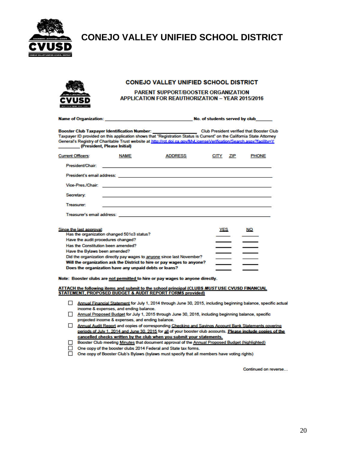



#### **CONEJO VALLEY UNIFIED SCHOOL DISTRICT**

#### PARENT SUPPORT/BOOSTER ORGANIZATION **APPLICATION FOR REAUTHORIZATION - YEAR 2015/2016**

|                                                                                                                                       |                                                                                                     | Name of Organization: the control of the control of students served by club                                                                                                                                                                                                                                                                                     |                    |              |
|---------------------------------------------------------------------------------------------------------------------------------------|-----------------------------------------------------------------------------------------------------|-----------------------------------------------------------------------------------------------------------------------------------------------------------------------------------------------------------------------------------------------------------------------------------------------------------------------------------------------------------------|--------------------|--------------|
| (President, Please Initial)                                                                                                           |                                                                                                     | Booster Club Taxpayer Identification Number: ________________________Club President verified that Booster Club<br>Taxpayer ID provided on this application shows that "Registration Status is Current" on the California State Attorney<br>General's Registry of Charitable Trust website at http://rct.doi.ca.gov/MvLicenseVerification/Search.aspx?facility=Y |                    |              |
| <b>Current Officers:</b>                                                                                                              | <b>NAME</b>                                                                                         | <b>ADDRESS</b>                                                                                                                                                                                                                                                                                                                                                  | <b>CITY</b><br>ZIP | <b>PHONE</b> |
| President/Chair:                                                                                                                      |                                                                                                     | <u> 1989 - An t-Alban Alban ann an t-Alban ann an t-Alban ann an t-Alban ann an t-Alban ann an t-Alban ann an t-A</u>                                                                                                                                                                                                                                           |                    |              |
|                                                                                                                                       |                                                                                                     |                                                                                                                                                                                                                                                                                                                                                                 |                    |              |
|                                                                                                                                       |                                                                                                     | Vice-Pres./Chair: New York: New York: New York: New York: New York: New York: New York: New York: New York: New York: New York: New York: New York: New York: New York: New York: New York: New York: New York: New York: New                                                                                                                                   |                    |              |
| Secretary:                                                                                                                            |                                                                                                     | the control of the control of the control of the control of the control of the control of                                                                                                                                                                                                                                                                       |                    |              |
| <b>Treasurer:</b>                                                                                                                     |                                                                                                     |                                                                                                                                                                                                                                                                                                                                                                 |                    |              |
|                                                                                                                                       |                                                                                                     |                                                                                                                                                                                                                                                                                                                                                                 |                    |              |
| Since the last approval:<br>Have the audit procedures changed?<br>Has the Constitution been amended?<br>Have the Bylaws been amended? | Has the organization changed 501c3 status?<br>Does the organization have any unpaid debts or loans? | Did the organization directly pay wages to anyone since last November?<br>Will the organization ask the District to hire or pay wages to anyone?                                                                                                                                                                                                                | <b>YES</b>         | NO           |

Note: Booster clubs are not permitted to hire or pay wages to anyone directly.

ATTACH the following items and submit to the school principal (CLUBS MUST USE CVUSD FINANCIAL STATEMENT, PROPOSED BUDGET & AUDIT REPORT FORMS provided)

- Annual Financial Statement for July 1, 2014 through June 30, 2015, including beginning balance, specific actual income & expenses, and ending balance.
- Annual Proposed Budget for July 1, 2015 through June 30, 2016, including beginning balance, specific projected income & expenses, and ending balance.
- Annual Audit Report and copies of corresponding Checking and Savings Account Bank Statements covering periods of July 1, 2014 and June 30, 2015 for all of your booster club accounts. Please include copies of the cancelled checks written by the club when you submit your statements.
- Booster Club meeting Minutes that document approval of the Annual Proposed Budget (highlighted) □
- □ One copy of the booster clubs 2014 Federal and State tax forms.
- □ One copy of Booster Club's Bylaws (bylaws must specify that all members have voting rights)

Continued on reverse...